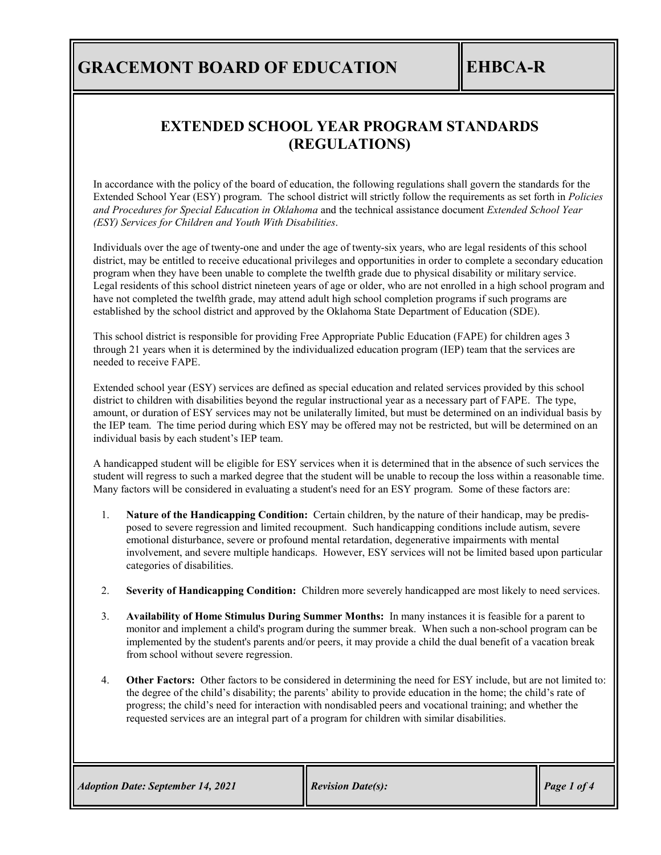### **EXTENDED SCHOOL YEAR PROGRAM STANDARDS (REGULATIONS)**

In accordance with the policy of the board of education, the following regulations shall govern the standards for the Extended School Year (ESY) program. The school district will strictly follow the requirements as set forth in *Policies and Procedures for Special Education in Oklahoma* and the technical assistance document *Extended School Year (ESY) Services for Children and Youth With Disabilities*.

Individuals over the age of twenty-one and under the age of twenty-six years, who are legal residents of this school district, may be entitled to receive educational privileges and opportunities in order to complete a secondary education program when they have been unable to complete the twelfth grade due to physical disability or military service. Legal residents of this school district nineteen years of age or older, who are not enrolled in a high school program and have not completed the twelfth grade, may attend adult high school completion programs if such programs are established by the school district and approved by the Oklahoma State Department of Education (SDE).

This school district is responsible for providing Free Appropriate Public Education (FAPE) for children ages 3 through 21 years when it is determined by the individualized education program (IEP) team that the services are needed to receive FAPE.

Extended school year (ESY) services are defined as special education and related services provided by this school district to children with disabilities beyond the regular instructional year as a necessary part of FAPE. The type, amount, or duration of ESY services may not be unilaterally limited, but must be determined on an individual basis by the IEP team. The time period during which ESY may be offered may not be restricted, but will be determined on an individual basis by each student's IEP team.

A handicapped student will be eligible for ESY services when it is determined that in the absence of such services the student will regress to such a marked degree that the student will be unable to recoup the loss within a reasonable time. Many factors will be considered in evaluating a student's need for an ESY program. Some of these factors are:

- 1. **Nature of the Handicapping Condition:** Certain children, by the nature of their handicap, may be predisposed to severe regression and limited recoupment. Such handicapping conditions include autism, severe emotional disturbance, severe or profound mental retardation, degenerative impairments with mental involvement, and severe multiple handicaps. However, ESY services will not be limited based upon particular categories of disabilities.
- 2. **Severity of Handicapping Condition:** Children more severely handicapped are most likely to need services.
- 3. **Availability of Home Stimulus During Summer Months:** In many instances it is feasible for a parent to monitor and implement a child's program during the summer break. When such a non-school program can be implemented by the student's parents and/or peers, it may provide a child the dual benefit of a vacation break from school without severe regression.
- 4. **Other Factors:** Other factors to be considered in determining the need for ESY include, but are not limited to: the degree of the child's disability; the parents' ability to provide education in the home; the child's rate of progress; the child's need for interaction with nondisabled peers and vocational training; and whether the requested services are an integral part of a program for children with similar disabilities.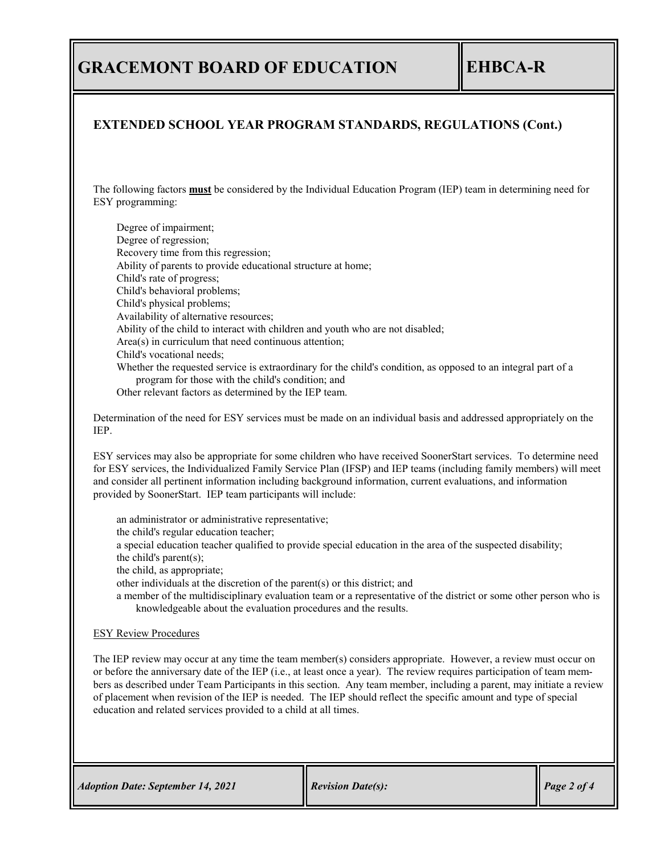### **EXTENDED SCHOOL YEAR PROGRAM STANDARDS, REGULATIONS (Cont.)**

The following factors **must** be considered by the Individual Education Program (IEP) team in determining need for ESY programming:

Degree of impairment; Degree of regression; Recovery time from this regression; Ability of parents to provide educational structure at home; Child's rate of progress; Child's behavioral problems; Child's physical problems; Availability of alternative resources; Ability of the child to interact with children and youth who are not disabled; Area(s) in curriculum that need continuous attention; Child's vocational needs; Whether the requested service is extraordinary for the child's condition, as opposed to an integral part of a program for those with the child's condition; and

Other relevant factors as determined by the IEP team.

Determination of the need for ESY services must be made on an individual basis and addressed appropriately on the IEP.

ESY services may also be appropriate for some children who have received SoonerStart services. To determine need for ESY services, the Individualized Family Service Plan (IFSP) and IEP teams (including family members) will meet and consider all pertinent information including background information, current evaluations, and information provided by SoonerStart. IEP team participants will include:

an administrator or administrative representative; the child's regular education teacher; a special education teacher qualified to provide special education in the area of the suspected disability; the child's parent(s); the child, as appropriate; other individuals at the discretion of the parent(s) or this district; and a member of the multidisciplinary evaluation team or a representative of the district or some other person who is knowledgeable about the evaluation procedures and the results.

#### ESY Review Procedures

The IEP review may occur at any time the team member(s) considers appropriate. However, a review must occur on or before the anniversary date of the IEP (i.e., at least once a year). The review requires participation of team members as described under Team Participants in this section. Any team member, including a parent, may initiate a review of placement when revision of the IEP is needed. The IEP should reflect the specific amount and type of special education and related services provided to a child at all times.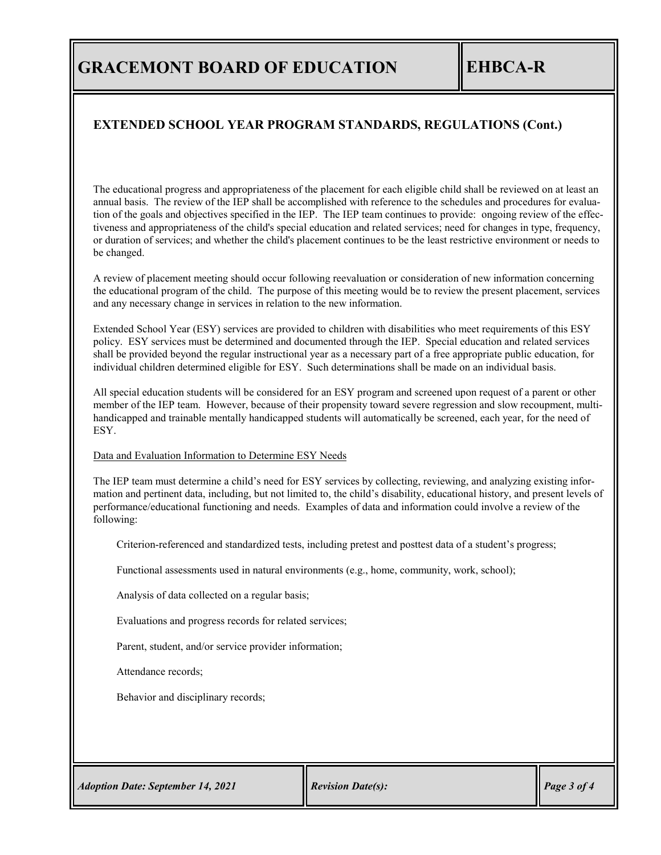### **EXTENDED SCHOOL YEAR PROGRAM STANDARDS, REGULATIONS (Cont.)**

The educational progress and appropriateness of the placement for each eligible child shall be reviewed on at least an annual basis. The review of the IEP shall be accomplished with reference to the schedules and procedures for evaluation of the goals and objectives specified in the IEP. The IEP team continues to provide: ongoing review of the effectiveness and appropriateness of the child's special education and related services; need for changes in type, frequency, or duration of services; and whether the child's placement continues to be the least restrictive environment or needs to be changed.

A review of placement meeting should occur following reevaluation or consideration of new information concerning the educational program of the child. The purpose of this meeting would be to review the present placement, services and any necessary change in services in relation to the new information.

Extended School Year (ESY) services are provided to children with disabilities who meet requirements of this ESY policy. ESY services must be determined and documented through the IEP. Special education and related services shall be provided beyond the regular instructional year as a necessary part of a free appropriate public education, for individual children determined eligible for ESY. Such determinations shall be made on an individual basis.

All special education students will be considered for an ESY program and screened upon request of a parent or other member of the IEP team. However, because of their propensity toward severe regression and slow recoupment, multihandicapped and trainable mentally handicapped students will automatically be screened, each year, for the need of ESY.

#### Data and Evaluation Information to Determine ESY Needs

The IEP team must determine a child's need for ESY services by collecting, reviewing, and analyzing existing information and pertinent data, including, but not limited to, the child's disability, educational history, and present levels of performance/educational functioning and needs. Examples of data and information could involve a review of the following:

Criterion-referenced and standardized tests, including pretest and posttest data of a student's progress;

Functional assessments used in natural environments (e.g., home, community, work, school);

Analysis of data collected on a regular basis;

Evaluations and progress records for related services;

Parent, student, and/or service provider information;

Attendance records;

Behavior and disciplinary records;